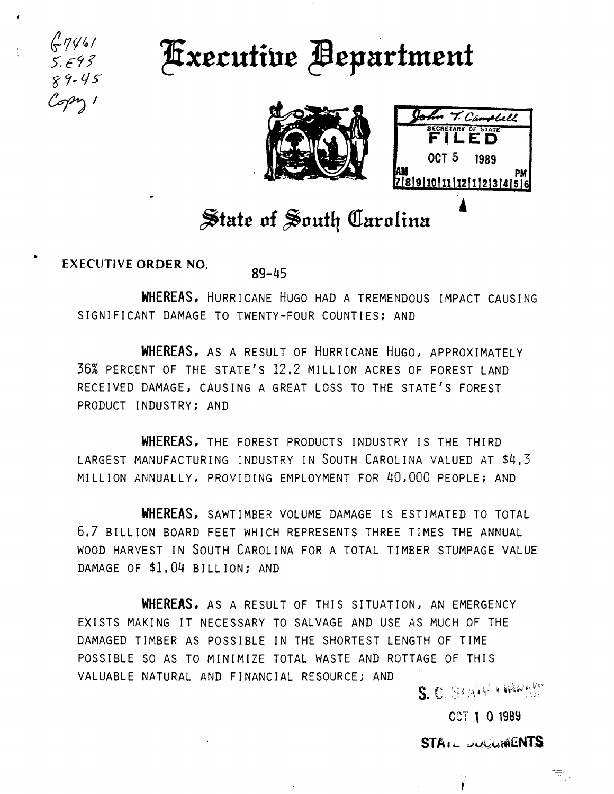

•

## **Fixecutive Bepartment**





## $\frac{1}{2}$  tate of South Carolina

**EXECUTIVE ORDER NO. 89-45** 

**WHEREAS,** HURRICANE HUGO HAD A TREMENDOUS IMPACT CAUSING SIGNIFICANT DAMAGE TO TWENTY-FOUR COUNTIES; AND

WHEREAS, AS A RESULT OF HURRICANE HUGO, APPROXIMATELY 36% PERCENT OF THE STATE'S 12.2 MILLION ACRES OF FOREST LAND RECEIVED DAMAGE, CAUSING A GREAT LOSS TO THE STATE'S FOREST PRODUCT INDUSTRY; AND

**WHEREAS,** THE FOREST PRODUCTS INDUSTRY IS THE THIRD LARGEST MANUFACTURING INDUSTRY IN SOUTH CAROLINA VALUED AT \$4,3 MILLION ANNUALLY, PROVIDING EMPLOYMENT FOR 40,000 PEOPLE; AND

**WHEREAS,** SAWTIMBER VOLUME DAMAGE IS ESTIMATED TO TOTAL 6,7 BILLION BOARD FEET WHICH REPRESENTS THREE TIMES THE ANNUAL WOOD HARVEST IN SOUTH CAROLINA FOR A TOTAL TIMBER STUMPAGE VALUE DAMAGE OF \$1.04 BILLION; AND

WHEREAS, AS A RESULT OF THIS SITUATION, AN EMERGENCY EXISTS MAKING IT NECESSARY TO SALVAGE AND USE AS MUCH OF THE DAMAGED TIMBER AS POSSIBLE IN THE SHORTEST LENGTH OF TIME POSSIBLE SO AS TO MINIMIZE TOTAL WASTE AND ROTTAGE OF THIS VALUABLE NATURAL AND FINANCIAL RESOURCEi AND

S. C. STANCHRYSON

CCT 1 0 1989

STA ... *DUCLIMENTS*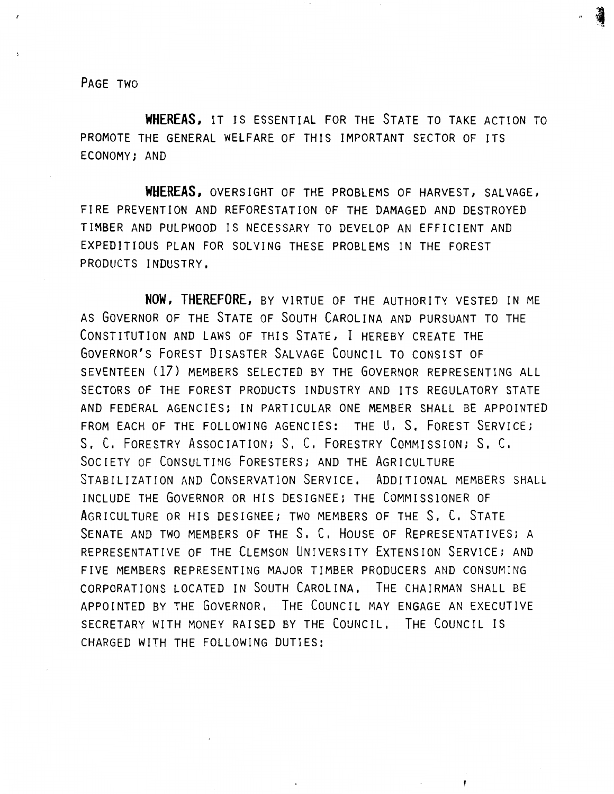PAGE TWO

WHEREAS, IT IS ESSENTIAL FOR THE STATE TO TAKE ACTION TO PROMOTE THE GENERAL WELFARE OF THIS IMPORTANT SECTOR OF ITS ECONOMY; AND

WHEREAS, OVERSIGHT OF THE PROBLEMS OF HARVEST, SALVAGE, FIRE PREVENTION AND REFORESTATION OF THE DAMAGED AND DESTROYED TIMBER AND PULPWOOD IS NECESSARY TO DEVELOP AN EFFICIENT AND EXPEDITIOUS PLAN FOR SOLVING THESE PROBLEMS IN THE FOREST PRODUCTS INDUSTRY,

NOW. THEREFORE, BY VIRTUE OF THE AUTHORITY VESTED IN ME AS GOVERNOR OF THE STATE OF SOUTH CAROLINA AND PURSUANT TO THE CONSTITUTION AND LAWS OF THIS STATE, I HEREBY CREATE THE GOVERNOR'S FOREST DISASTER SALVAGE COUNCIL TO CONSIST OF SEVENTEEN (17) MEMBERS SELECTED BY THE GOVERNOR REPRESENTING ALL SECTORS OF THE FOREST PRODUCTS INDUSTRY AND ITS REGULATORY STATE AND FEDERAL AGENCIES; IN PARTICULAR ONE MEMBER SHALL BE APPOINTED FROM EACH OF THE FOLLOWING AGENCIES: THE U, S, FOREST SERVICE; S. C, FORESTRY ASSOCIATION; S, C, FORESTRY COMMISSION; S, C. SOCIETY OF CONSULTING FORESTERS; AND THE AGRICULTURE STABILIZATION AND CONSERVATION SERVICE, ADDITIONAL MEMBERS SHALL INCLUDE THE GOVERNOR OR HIS DESIGNEE; THE COMMISSIONER OF AGRICULTURE OR HIS DESIGNEE; TWO MEMBERS OF THE S. C. STATE SENATE AND TWO MEMBERS OF THE S. C. HOUSE OF REPRESENTATIVES; A REPRESENTATIVE OF THE CLEMSON UNIVERSITY EXTENSION SERVICE; AND FIVE MEMBERS REPRESENTING MAJOR TIMBER PRODUCERS AND CONSUMING CORPORATIONS LOCATED IN SOUTH CAROLINA, THE CHAIRMAN SHALL BE APPOINTED BY THE GOVERNOR, THE COUNCIL MAY ENGAGE AN EXECUTIVE SECRETARY WITH MONEY RAISED BY THE COUNCIL, THE COUNCIL IS CHARGED WITH THE FOLLOWING DUTIES: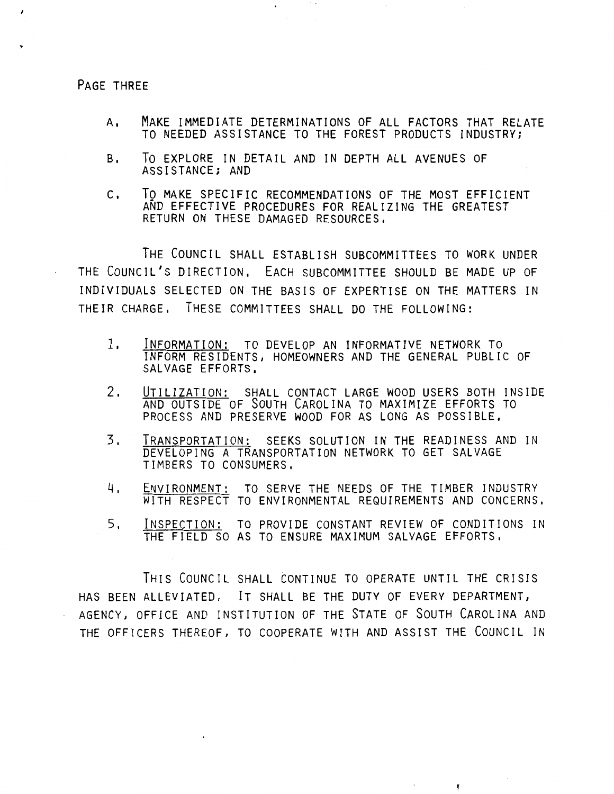PAGE THREE

'

 $\epsilon$ 

- A, MAKE IMMEDIATE DETERMINATIONS OF ALL FACTORS THAT RELATE TO NEEDED ASSISTANCE TO THE FOREST PRODUCTS INDUSTRYi
- B. To EXPLORE IN DETAIL AND IN DEPTH ALL AVENUES OF ASSISTANCE; AND

 $\mathbf{r}$ 

C, To MAKE SPECIFIC RECOMMENDATIONS OF THE MOST EFFICIENT AND EFFECTIVE PROCEDURES FOR REALIZING THE GREATEST RETURN ON THESE DAMAGED RESOURCES.

THE COUNCIL SHALL ESTABLISH SUBCOMMITTEES TO WORK UNDER THE COUNCIL'S DIRECTION, EACH SUBCOMMITTEE SHOULD BE MADE UP OF INDIVIDUALS SELECTED ON THE BASIS OF EXPERTISE ON THE MATTERS IN THEIR CHARGE, THESE COMMITTEES SHALL DO THE FOLLOWING:

- 1, INFORMATION: TO DEVELOP AN INFORMATIVE NETWORK TO INFORM RESIDENTS, HOMEOWNERS AND THE GENERAL PUBLIC OF SALVAGE EFFORTS,
- 2. UTILIZATION: SHALL CONTACT LARGE WOOD USERS BOTH INSIDE AND OUTSIDE OF SOUTH CAROLINA TO MAXIMIZE EFFORTS TO PROCESS AND PRESERVE WOOD FOR AS LONG AS POSSIBLE,
- 3, TRANSPORTATION: SEEKS SOLUTION IN THE READINESS AND IN DEVELOPING A TRANSPORTATION NETWORK TO GET SALVAGE TIMBERS TO CONSUMERS,
- 4, ENVIRONMENT: TO SERVE THE NEEDS OF THE TIMBER INDUSTRY WITH RESPECT TO ENVIRONMENTAL REQUIREMENTS AND CONCERNS,
- 5, INSPECTION: TO PROVIDE CONSTANT REVIEW OF CONDITIONS IN THE FIELD SO AS TO ENSURE MAXIMUM SALVAGE EFFORTS,

 $\mathbf{r}$ 

THIS COUNCIL SHALL CONTINUE TO OPERATE UNTIL THE CRISIS HAS BEEN ALLEVIATED, IT SHALL BE THE DUTY OF EVERY DEPARTMENT, AGENCY, OFFICE AND INSTITUTION OF THE STATE OF SOUTH CAROLINA AND THE OFFICERS THEREOF, TO COOPERATE WITH AND ASSIST THE COUNCIL IN